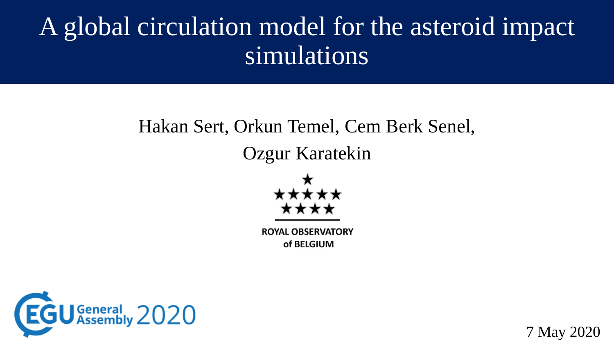## A global circulation model for the asteroid impact simulations

# Hakan Sert, Orkun Temel, Cem Berk Senel,

#### Ozgur Karatekin



**ROYAL OBSERVATORY** of BELGIUM



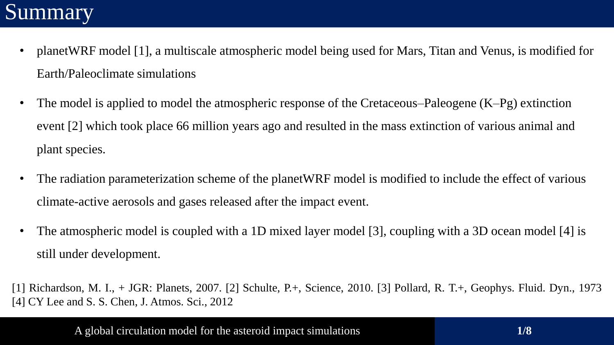#### Summary

- planetWRF model [1], a multiscale atmospheric model being used for Mars, Titan and Venus, is modified for Earth/Paleoclimate simulations
- The model is applied to model the atmospheric response of the Cretaceous–Paleogene (K–Pg) extinction event [2] which took place 66 million years ago and resulted in the mass extinction of various animal and plant species.
- The radiation parameterization scheme of the planetWRF model is modified to include the effect of various climate-active aerosols and gases released after the impact event.
- The atmospheric model is coupled with a 1D mixed layer model [3], coupling with a 3D ocean model [4] is still under development.

[1] Richardson, M. I., + JGR: Planets, 2007. [2] Schulte, P.+, Science, 2010. [3] Pollard, R. T.+, Geophys. Fluid. Dyn., 1973 [4] CY Lee and S. S. Chen, J. Atmos. Sci., 2012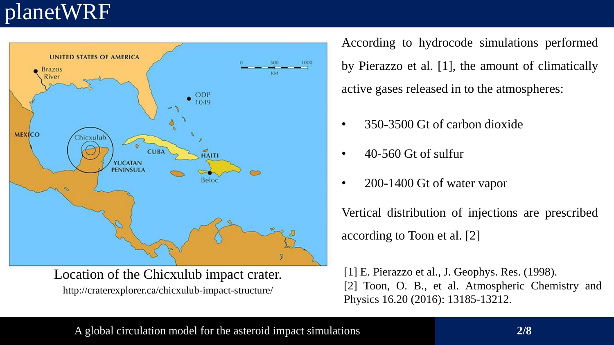### planetWRF



http://craterexplorer.ca/chicxulub-impact-structure/ Location of the Chicxulub impact crater. According to hydrocode simulations performed by Pierazzo et al. [1], the amount of climatically active gases released in to the atmospheres:

- 350-3500 Gt of carbon dioxide
- 40-560 Gt of sulfur
- 200-1400 Gt of water vapor

Vertical distribution of injections are prescribed according to Toon et al. [2]

[1] E. Pierazzo et al., J. Geophys. Res. (1998). [2] Toon, O. B., et al. Atmospheric Chemistry and Physics 16.20 (2016): 13185-13212.

A global circulation model for the asteroid impact simulations **2/8**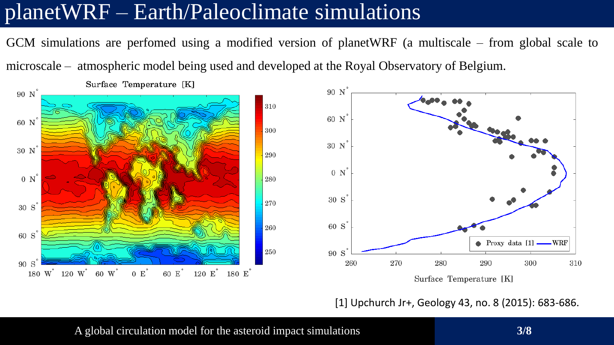#### planetWRF – Earth/Paleoclimate simulations

GCM simulations are perfomed using a modified version of planetWRF (a multiscale – from global scale to microscale – atmospheric model being used and developed at the Royal Observatory of Belgium.



[1] Upchurch Jr+, Geology 43, no. 8 (2015): 683-686.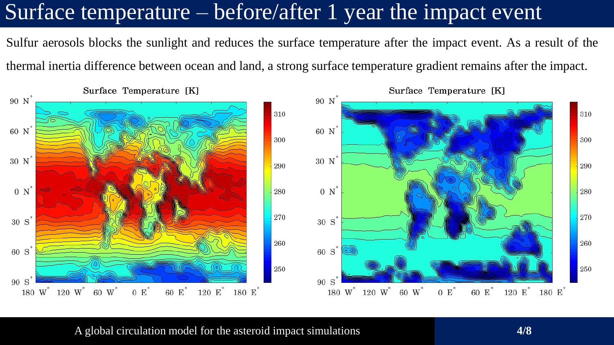#### Surface temperature – before/after 1 year the impact event.

Sulfur aerosols blocks the sunlight and reduces the surface temperature after the impact event. As a result of the thermal inertia difference between ocean and land, a strong surface temperature gradient remains after the impact.



Surface Temperature [K]

#### A global circulation model for the asteroid impact simulations **4/8**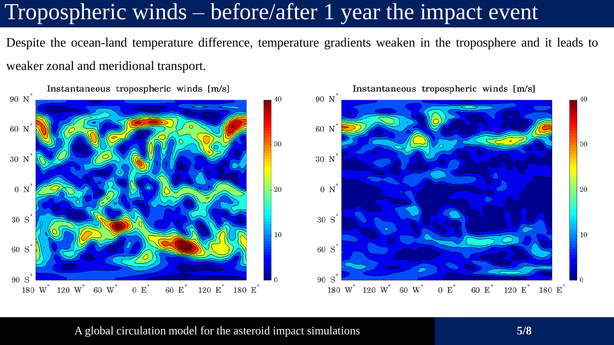### Tropospheric winds – before/after 1 year the impact event

Despite the ocean-land temperature difference, temperature gradients weaken in the troposphere and it leads to weaker zonal and meridional transport.



A global circulation model for the asteroid impact simulations **5/8**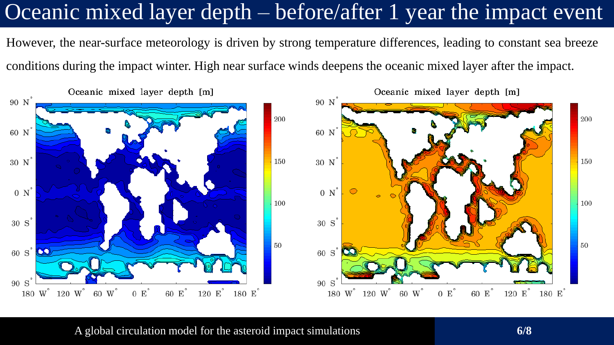### Oceanic mixed layer depth – before/after 1 year the impact event

However, the near-surface meteorology is driven by strong temperature differences, leading to constant sea breeze conditions during the impact winter. High near surface winds deepens the oceanic mixed layer after the impact.



A global circulation model for the asteroid impact simulations **6/8**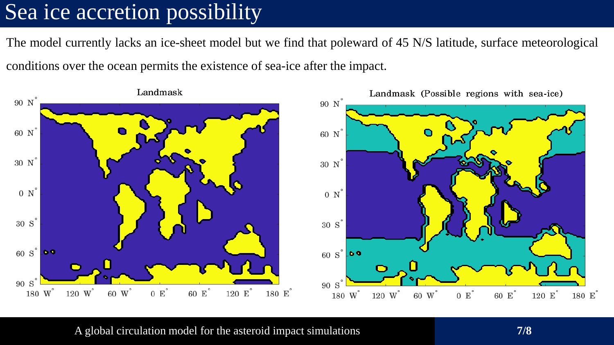#### Sea ice accretion possibility

The model currently lacks an ice-sheet model but we find that poleward of 45 N/S latitude, surface meteorological

conditions over the ocean permits the existence of sea-ice after the impact.



A global circulation model for the asteroid impact simulations **7/8**